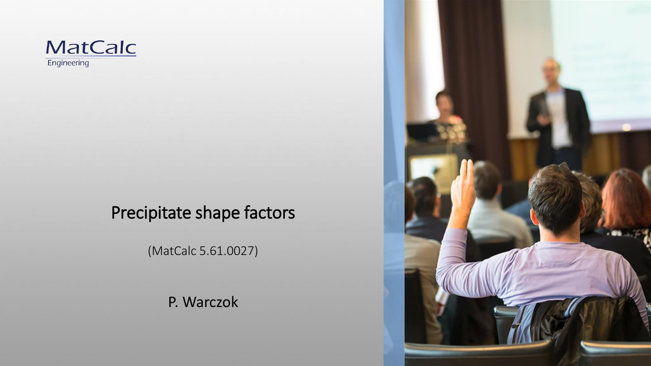

#### Precipitate shape factors

(MatCalc 5.61.0027)

P. Warczok

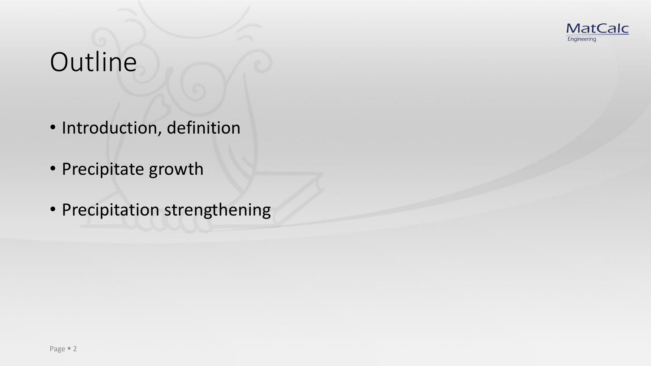

# **Outline**

- Introduction, definition
- Precipitate growth
- Precipitation strengthening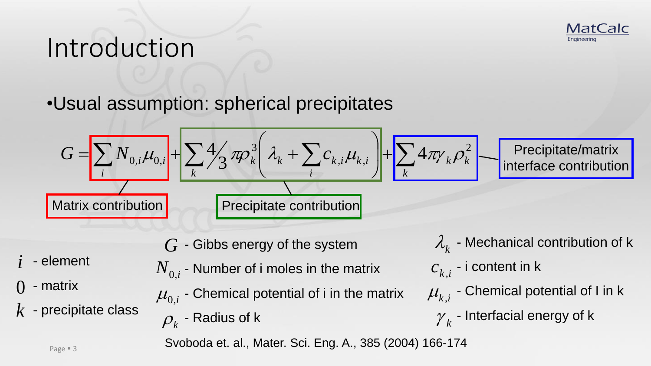#### Introduction

#### •Usual assumption: spherical precipitates

$$
G = \sum_{i} N_{0,i} \mu_{0,i} + \sum_{k} 4 \frac{1}{3} \pi \rho_{k}^{3} \left( \lambda_{k} + \sum_{i} c_{k,i} \mu_{k,i} \right) + \sum_{k} 4 \pi \gamma_{k} \rho_{k}^{2} - \text{Precipitate/matrix}
$$
  
Matrix contribution  
Precipitate contribution

 $G$  - Gibbs energy of the system

- element
- matrix 0

*i*

- $\overline{k}$  precipitate class
- $\overline{N}_{0,i}$  Number of i moles in the matrix
- $\mu_{0,i}^{}$  Chemical potential of i in the matrix
- $\rho_{_k}$  Radius of k

 $\lambda_{\rm\bf\bf\it k}$  - Mechanical contribution of k  $c_{k,i}^{\phantom{\dag}}$  - i content in k  $\mu_{\scriptscriptstyle k,i}$  - Chemical potential of I in k  $\gamma_k$  - Interfacial energy of k

**MatCalc** 

Engineering

Svoboda et. al., Mater. Sci. Eng. A., 385 (2004) 166-174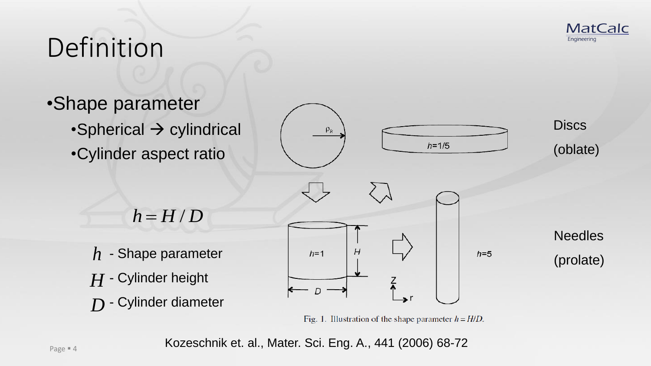

# Definition



Fig. 1. Illustration of the shape parameter  $h = H/D$ .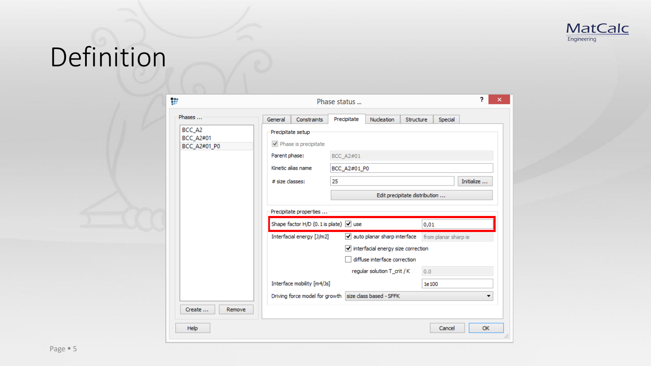

# Definition

| ₩                                | 2.<br>Phase status     |                                            |             |                                                             |           |                                                  |            |  |  |
|----------------------------------|------------------------|--------------------------------------------|-------------|-------------------------------------------------------------|-----------|--------------------------------------------------|------------|--|--|
| Phases                           | General                | Constraints                                | Precipitate | Nucleation                                                  | Structure | Special                                          |            |  |  |
| BCC_A2                           | Precipitate setup      |                                            |             |                                                             |           |                                                  |            |  |  |
| <b>BCC_A2#01</b><br>BCC_A2#01_P0 |                        | $\blacktriangleright$ Phase is precipitate |             |                                                             |           |                                                  |            |  |  |
|                                  | Parent phase:          |                                            | BCC_A2#01   |                                                             |           |                                                  |            |  |  |
|                                  |                        | Kinetic alias name                         |             | BCC_A2#01_P0                                                |           |                                                  |            |  |  |
|                                  |                        | # size classes:<br>25                      |             |                                                             |           |                                                  | Initialize |  |  |
|                                  |                        |                                            |             | Edit precipitate distribution                               |           |                                                  |            |  |  |
|                                  | Precipitate properties |                                            |             |                                                             |           |                                                  |            |  |  |
|                                  |                        | Shape factor H/D (0.1 is plate) √ use      |             | 0,01                                                        |           |                                                  |            |  |  |
|                                  |                        | Interfacial energy [J/m2]                  |             |                                                             |           | auto planar sharp interface from planar sharp ie |            |  |  |
|                                  |                        |                                            |             | $\sqrt{\ }$ interfacial energy size correction              |           |                                                  |            |  |  |
|                                  |                        |                                            |             | diffuse interface correction                                |           |                                                  |            |  |  |
|                                  |                        |                                            |             | regular solution T_crit / K                                 |           | 0.0                                              |            |  |  |
|                                  |                        | Interface mobility [m4/Js]                 |             |                                                             | 1e100     |                                                  |            |  |  |
|                                  |                        |                                            |             | Driving force model for growth size class based - SFFK<br>▼ |           |                                                  |            |  |  |
| Create<br>Remove                 |                        |                                            |             |                                                             |           |                                                  |            |  |  |
| Help                             |                        |                                            |             |                                                             |           | Cancel                                           | <b>OK</b>  |  |  |
|                                  |                        |                                            |             |                                                             |           |                                                  |            |  |  |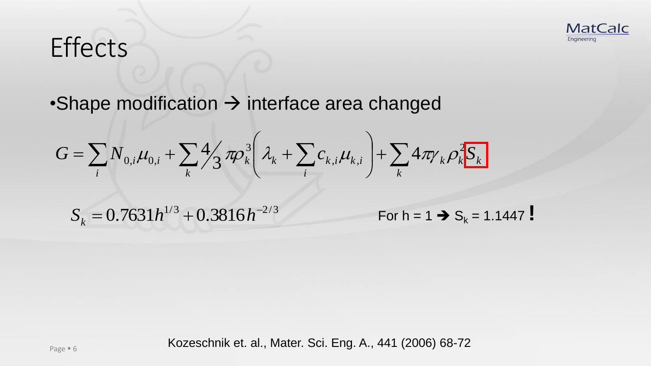

## **Effects**

 $\cdot$ Shape modification  $\rightarrow$  interface area changed

$$
G = \sum_{i} N_{0,i} \mu_{0,i} + \sum_{k} \frac{4}{3} \pi \rho_k^3 \left( \lambda_k + \sum_{i} c_{k,i} \mu_{k,i} \right) + \sum_{k} 4 \pi \gamma_k \rho_k^2 S_k
$$

 $S_k = 0.7631h^{1/3} + 0.3816h^{-2/3}$ 

For  $h = 1 \rightarrow S_k = 1.1447$  !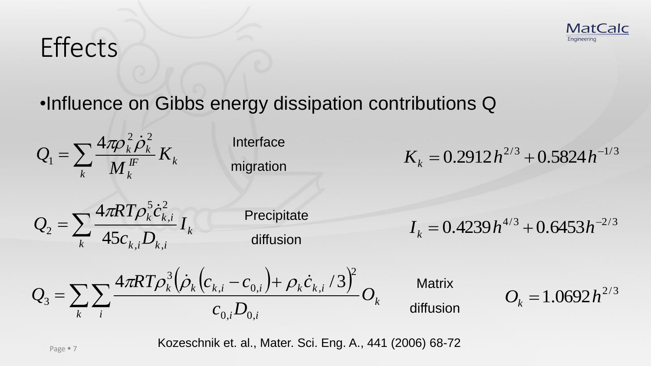# **Effects**





Interface migration

 $K_k = 0.2912 h^{2/3} + 0.5824 h^{-1/3}$ 

 $=\sum$ *k k*  $k, i \nightharpoonup k, i$  $\frac{k^{c}k, i}{k^{c}}I$  $c_{\vec{k}}$ <sub>*i</sub>* $\overline{D}$ </sub>  $R T \rho _k^5 \dot c$ *Q*  $i\mathbf{Z}_k$ 2 , 5  $2-\frac{2}{k}$  45  $4\pi \!RT \rho^5_k \dot c$ 

**Precipitate** diffusion

 $I_k = 0.4239 h^{4/3} + 0.6453 h^{-2/3}$ 

$$
Q_{3} = \sum_{k} \sum_{i} \frac{4\pi RT \rho_{k}^{3} (\dot{\rho}_{k} (c_{k,i} - c_{0,i}) + \rho_{k} \dot{c}_{k,i} / 3)^{2}}{c_{0,i} D_{0,i}} O_{k}
$$

**Matrix** liffusion

$$
O_k = 1.0692 h^{2/3}
$$

**MatCalc** 

Engineering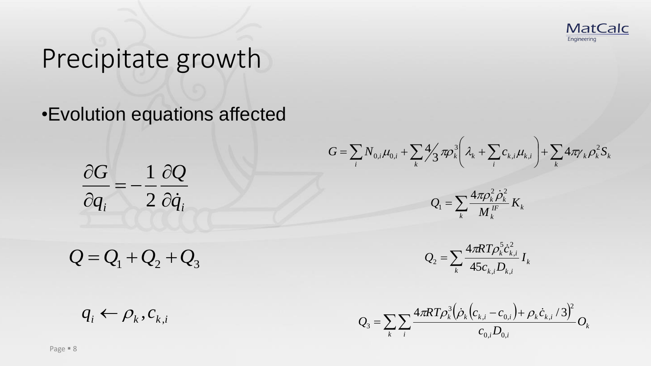

•Evolution equations affected

 $\partial_i$  *q*<sup>*i*</sup> *Q q G*  $\partial \dot q$  $\partial$  $=$   $\partial$  $\partial$ 2 1

 $\sum_{i} N_{0,i} \mu_{0,i} + \sum_{k} 4 \frac{1}{3} \pi \rho_k^3 \left( \lambda_k + \sum_{i} c_{k,i} \mu_{k,i} \right) + \sum_{k}$  $\mathsf{I}$  $\setminus$  $\bigg($  $=\sum N_{0,i}\mu_{0,i}+\sum \frac{4}{3}\pi \rho_{k}^{3}|\lambda_{k}+$ *k*  $_{k}$  $\boldsymbol{\nu}_{k}$  $\boldsymbol{\nu}_{k}$ *k i*  $k \mid \mathcal{L}_k \mid \sum_{k,i} c_{k,i} \mu_{k,i}$ *i*  $G = \sum N_{0,i} \mu_{0,i} + \sum \frac{4}{3} \pi \rho_k^3 \left| \lambda_k + \sum c_{k,i} \mu_{k,i} \right| + \sum 4 \pi \gamma_k \rho_k^2 S$  $i^{\mu_k},$ 3  $\mathcal{L}_{0,i}\mu_{0,i}+\sum 4\!\!\!\!\!/\gamma\!\!\!\!\!/\; \pi\!\!\!\!\!/\rho_k^3\!\!\!\!\!/\left|\lambda_{\!_k}\!+\!\sum c_{k,i}\mu_{k,i}\right|+\sum 4\!\!\!\!\!/\left|\lambda_{\!j}\right|$ 3  $\mu_{0,i} + \sum \frac{4}{3} \pi \rho_k^3 \left[ \lambda_k + \sum c_{k,i} \mu_{k,i} \right] + \sum 4 \pi \gamma_k \rho_k$ 



 $=\sum$ *k k*  $k, i \rightarrow k, i$  $\frac{k^{c}k, i}{k^{c}}I$  $c_{\iota}$ <sub>*i</sub>D*</sub>  $R T \rho _k^5 \dot c$ *Q*  $i^{\boldsymbol{L}}k,$ 2 , 5  $2-\frac{2}{k}$  45

 $(\rho_k|c_{k,i}-c_{0,i})+\rho_k\dot{c}_{k,i}/3$  $\sum\sum$  $-c_{0i}$  )+  $=$ *k i k*  $i \boldsymbol{\nu}_{0,i}$  $\frac{k(k + k)k}{k}$   $\frac{k(k, i)}{k}$  *O*  $c_{0}$ <sub>*i</sub>* $D$ </sub>  $RT\rho_k^3(\rho_k(c_{k,i}-c_{0,i})+\rho_kc)$ *Q*  $0, i \rightarrow 0,$ 2  $i$   $\mathbf{c}_{0,i}$   $j$   $\mathbf{p}_k \mathbf{c}_k$ 3 3  $4\pi RT\rho_k^3(\rho_k(c_{k,i}-c_{0,i})+\rho_k\dot{c}_{k,i}/3)$ 

 $Q = Q_1 + Q_2 + Q_3$ 

 $q_i \leftarrow \rho_k, c_{k,i}$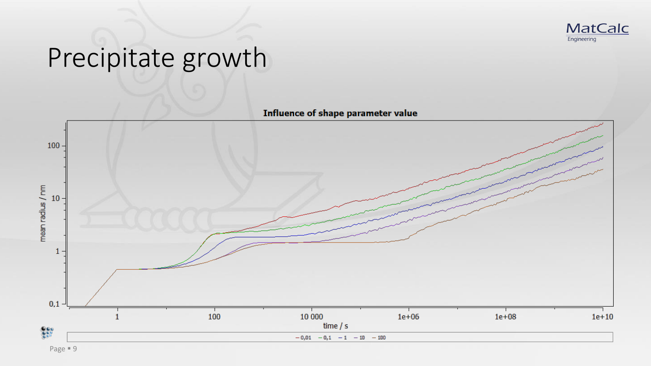



Page  $\blacksquare$  9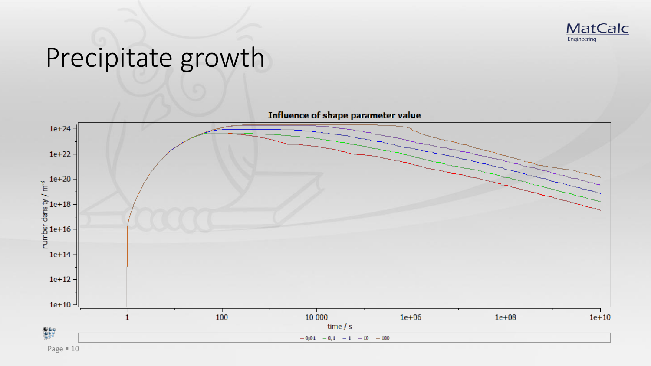

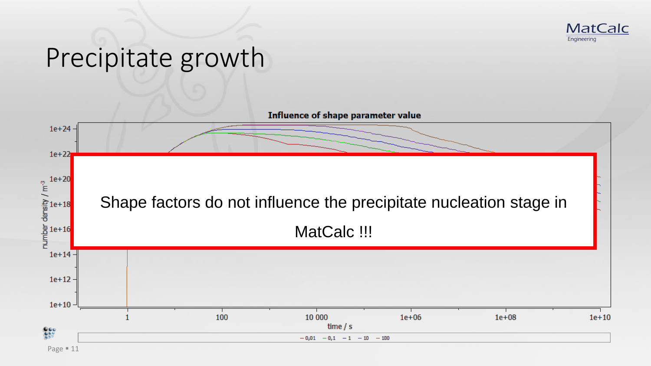

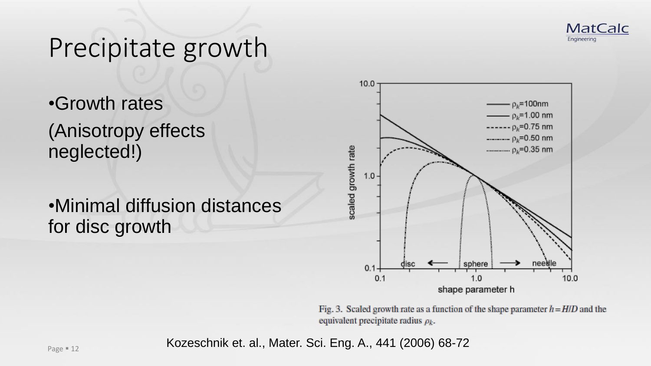

•Growth rates (Anisotropy effects neglected!)

•Minimal diffusion distances for disc growth



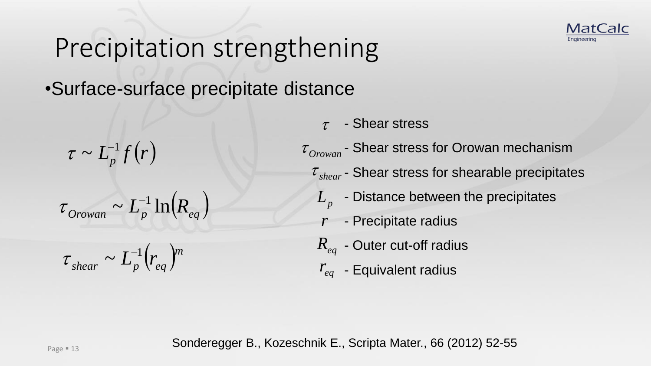

#### •Surface-surface precipitate distance

 $\tau \sim L_p^{-1} f(r)$ 

 $\tau_{Orown} \sim L_p^{-1} \ln(R_{eq})$ 

$$
\tau_{shear} \sim L_p^{-1} \left( r_{eq} \right)^m
$$

- Shear stress

- Shear stress for Orowan mechanism  $\tau$  - Shear stress<br>  $r_{cwan}$  - Shear stress<br>  $L_p$  - Distance bet<br>  $r$  - Precipitate ra<br>  $R_{eq}$  - Outer cut-off  $\tau_{\textit{Orown}}$  - Shear stre

- $\tau_{\text{shear}}$  Shear stress for shearable precipitates
	- $L_p^{\phantom{\dagger}}$  Distance between the precipitates
	- Precipitate radius *r*
- $R_{eq}$  Outer cut-off radius
- $r_{eq}$  Equivalent radius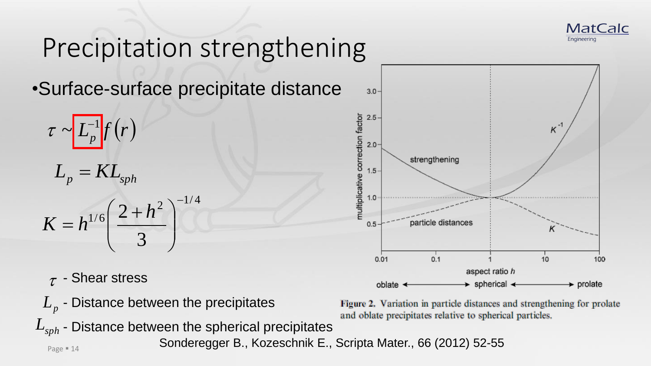

•Surface-surface precipitate distance

$$
\tau \sim L_p^{-1} f(r)
$$

$$
L_p = KL_{\mathrm sph}
$$

$$
K = h^{1/6} \left(\frac{2 + h^2}{3}\right)^{-1/4}
$$

- $\tau$  Shear stress
- $L_p$  Distance between the precipitates
- $L_p$  Distance between the precipitates<br>  $L_{sph}$  Distance between the spherical precipitates



Figure 2. Variation in particle distances and strengthening for prolate and oblate precipitates relative to spherical particles.

Sonderegger B., Kozeschnik E., Scripta Mater., 66 (2012) 52-55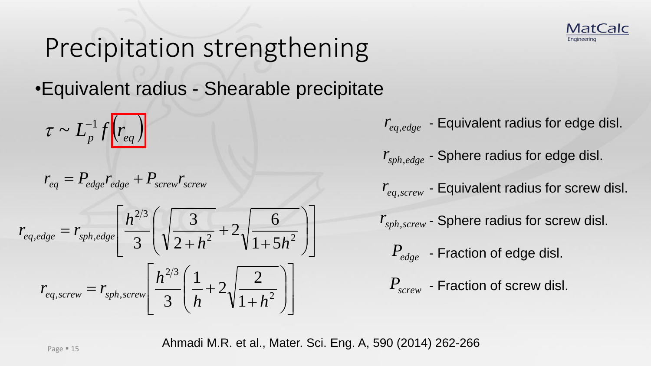•Equivalent radius - Shearable precipitate

 $\tau \sim L_n^{-1} f(r_{eq})$ 

$$
r_{eq} = P_{edge}r_{edge} + P_{screw}r_{screw}
$$

$$
\tau \sim L_p^{-1} f\left(r_{eq}\right)
$$
\n
$$
r_{eq} = P_{edge} r_{edge} + P_{screen} r_{serve}
$$
\n
$$
r_{eq,edge}
$$
\n
$$
r_{eq,edge}
$$
\n
$$
r_{eq,edge}
$$
\n
$$
r_{eq,edge}
$$
\n
$$
r_{eq,score}
$$
\n
$$
r_{eq,score}
$$
\n
$$
r_{eq,score}
$$
\n
$$
r_{eq,score}
$$
\n
$$
r_{ep,score}
$$
\n
$$
r_{ep,score}
$$
\n
$$
r_{ep,score}
$$
\n
$$
r_{ep,score}
$$
\n
$$
r_{ep,score}
$$
\n
$$
r_{ep,score}
$$
\n
$$
r_{ep,score}
$$
\n
$$
r_{ep,score}
$$
\n
$$
r_{ep,score}
$$
\n
$$
r_{ep,score}
$$
\n
$$
r_{ep,score}
$$
\n
$$
r_{ep,score}
$$
\n
$$
r_{ep,score}
$$
\n
$$
r_{ep,core}
$$
\n
$$
r_{ep,core}
$$
\n
$$
r_{ep,core}
$$
\n
$$
r_{ep,core}
$$
\n
$$
r_{ep,core}
$$
\n
$$
r_{ep,core}
$$
\n
$$
r_{ep,core}
$$
\n
$$
r_{ep,core}
$$
\n
$$
r_{ep,core}
$$
\n
$$
r_{ep,core}
$$
\n
$$
r_{ep,core}
$$
\n
$$
r_{ep,core}
$$
\n
$$
r_{ep,core}
$$
\n
$$
r_{ep,core}
$$
\n
$$
r_{ep,core}
$$
\n
$$
r_{ep,core}
$$
\n
$$
r_{ep,core}
$$
\n
$$
r_{ep,core}
$$
\n
$$
r_{ep,core}
$$
\n
$$
r_{ep,core}
$$
\n
$$
r_{ep,core}
$$
\n
$$
r_{ep,core}
$$
\n
$$
r_{ep,core}
$$
\n
$$
r_{ep,core}
$$
\n
$$
r_{ep,core}
$$
\n
$$
r_{ep,core}
$$
\n $$ 



- $r_{eq,edge}$  Equivalent radius for edge disl.
- $r_{\text{sph},edge}$  Sphere radius for edge disl.
- $r_{eq, screw}$  Equivalent radius for screw disl.
- *r*<sub>*sph,screw* Sphere radius for screw disl.</sub>
	- Fraction of edge disl. *Pedge*
		- $P_{\mathit{screen}}$  Fraction of screw disl.

Ahmadi M.R. et al., Mater. Sci. Eng. A, 590 (2014) 262-266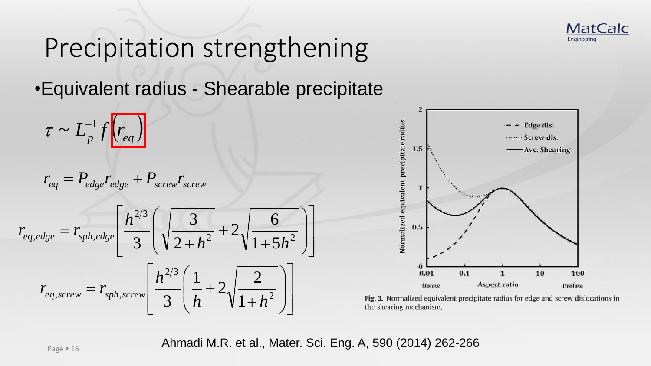

•Equivalent radius - Shearable precipitate

$$
\tau \sim L_p^{-1} f\left(r_{eq}\right)
$$

$$
r_{eq} = P_{edge}r_{edge} + P_{screw}r_{screw}
$$

$$
\tau \sim L_p^{-1} f\left(r_{eq}\right)
$$
\n
$$
r_{eq} = P_{edge} r_{edge} + P_{screen} r_{screen}
$$
\n
$$
r_{eq,edge} = r_{sph,edge} \left[\frac{h^{2/3}}{3} \left(\sqrt{\frac{3}{2+h^2}} + 2\sqrt{\frac{6}{1+5h^2}}\right)\right]
$$
\n
$$
r_{eq, screw} = r_{sph, screw} \left[\frac{h^{2/3}}{3} \left(\frac{1}{h} + 2\sqrt{\frac{2}{1+h^2}}\right)\right]
$$
\n
$$
r_{eq, screw} = r_{sph, screw} \left[\frac{h^{2/3}}{3} \left(\frac{1}{h} + 2\sqrt{\frac{2}{1+h^2}}\right)\right]
$$
\n
$$
r_{\text{ing.3. Norm}} \text{the shearing}
$$
\n
$$
\text{Ahmadi M.R. et al., Mater. Sci. Eng. A, 590 (2.11)
$$



 $\left\{ \begin{array}{c} \lambda \end{array} \right\}$   $\left\{ \begin{array}{c} \text{Fig. 3. Normalized equivalent precipitate radius for edge and screw dislocations in the shearing mechanism.} \end{array} \right.$ <br>Ahmadi M.R. et al., Mater. Sci. Eng. A, 590 (2014) 262-266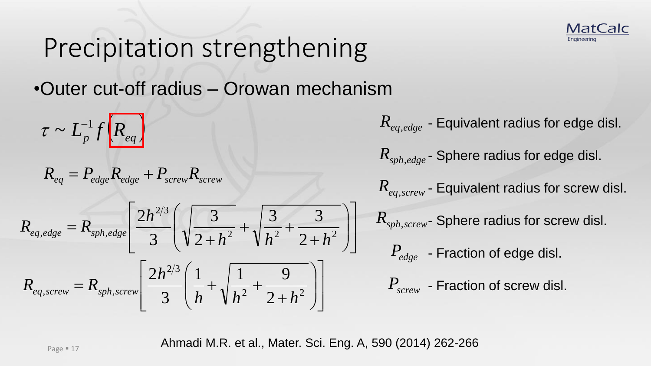•Outer cut-off radius – Orowan mechanism

 $\tau \sim L_p^{-1} f\left(R_{eq}\right)$ 

$$
R_{eq} = P_{edge} R_{edge} + P_{screw} R_{screw}
$$

$$
R_{eq} = P_{edge} R_{edge} + P_{screen} R_{screen}
$$
\n
$$
R_{eq, screw} = R_{sph,edge} \left[ \frac{2h^{2/3}}{3} \left( \sqrt{\frac{3}{2+h^2}} + \sqrt{\frac{3}{h^2} + \frac{3}{2+h^2}} \right) \right]
$$
\n
$$
R_{sph, screw} = R_{sph, screw} \left[ \frac{2h^{2/3}}{3} \left( \sqrt{\frac{3}{h} + \sqrt{\frac{3}{h^2} + \frac{3}{2+h^2}}} \right) \right]
$$
\n
$$
R_{sph, screw} = R_{sph, screw} \left[ \frac{2h^{2/3}}{3} \left( \frac{1}{h} + \sqrt{\frac{1}{h^2} + \frac{9}{2+h^2}} \right) \right]
$$
\n
$$
P_{screen} = \text{Fraction of edge disl.}
$$
\n
$$
P_{screen} = \text{Fraction of screw disl.}
$$

 $\bigcup$   $P$ ,  $-F$  $\begin{array}{ccc} & R & \hline \end{array}$  $\left| \cdot \right|$  $\parallel R$  $+h^2$  )  $\left|\frac{3}{2} + \frac{3}{2} \right|$   $\left|\frac{R_{sph, screw}}{R_{sph, screw}}\right|$  Sphere radius for screw disl. - Equivalent radius for edge disl. *Req*,*edge*  $R_{sph,edge}$  - Sphere radius for edge disl.  $R_{e_{a, screw}}$  - Equivalent radius for screw disl. - Fraction of edge disl. *Pedge*  $R_{\text{sph,edge}}$  - Sphere radiu<br>  $R_{\text{sph,edge}}$  - Sphere radiu<br>  $R_{\text{eq, screw}}$  - Equivalent ra *Pscrew*

**MatCalc** 

Engineering

Ahmadi M.R. et al., Mater. Sci. Eng. A, 590 (2014) 262-266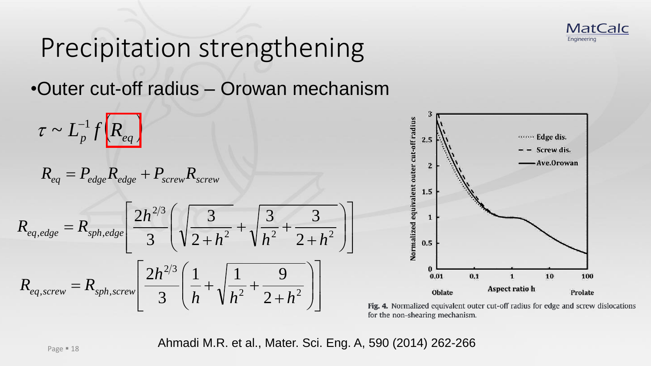

•Outer cut-off radius – Orowan mechanism

$$
\tau \sim L_p^{-1} f\left(R_{eq}\right)
$$

$$
R_{eq} = P_{edge} R_{edge} + P_{screw} R_{screw}
$$

$$
R_{eq,edge} = P_{edge} R_{edge} + P_{screen} R_{screen}
$$
\n
$$
R_{eq,edge} = R_{sph,edge} \left[ \frac{2h^{2/3}}{3} \left( \sqrt{\frac{3}{2+h^2}} + \sqrt{\frac{3}{h^2} + \frac{3}{2+h^2}} \right) \right]
$$
\n
$$
R_{eq, screw} = R_{sph, screw} \left[ \frac{2h^{2/3}}{3} \left( \frac{1}{h} + \sqrt{\frac{1}{h^2} + \frac{9}{2+h^2}} \right) \right]
$$
\n
$$
R_{eq, screw} = R_{sph, screw} \left[ \frac{2h^{2/3}}{3} \left( \frac{1}{h} + \sqrt{\frac{1}{h^2} + \frac{9}{2+h^2}} \right) \right]
$$
\n
$$
R_{\text{fig. 4. Normalized equivalent out for the non-shearing mechanism.}} = \frac{1}{2}
$$
\n
$$
R_{\text{pion 1.8}} = \frac{1}{2}
$$
\n
$$
R_{\text{pion 2.10}} = \frac{1}{2}
$$
\n
$$
R_{\text{pion 3.11}} = \frac{1}{2}
$$
\n
$$
R_{\text{pion 4.12}} = \frac{1}{2}
$$
\n
$$
R_{\text{pion 5.33}} = \frac{1}{2}
$$
\n
$$
R_{\text{pion 6.13}} = \frac{1}{2}
$$
\n
$$
R_{\text{pion 1.8}} = \frac{1}{2}
$$
\n
$$
R_{\text{pion 2.10}} = \frac{1}{2}
$$
\n
$$
R_{\text{pion 1.8}} = \frac{1}{2}
$$
\n
$$
R_{\text{pion 2.11}} = \frac{1}{2}
$$
\n
$$
R_{\text{pion 3.12}} = \frac{1}{2}
$$
\n
$$
R_{\text{pion 4.13}} = \frac{1}{2}
$$
\n
$$
R_{\text{pion 5.14}} = \frac{1}{2}
$$
\n
$$
R_{\text{pion 4.15}} = \frac{1}{2}
$$
\n
$$
R_{\text{pion 5.15}} = \frac{1}{2}
$$
\n



Fig. 4. Normalized equivalent outer cut-off radius for edge and screw dislocations